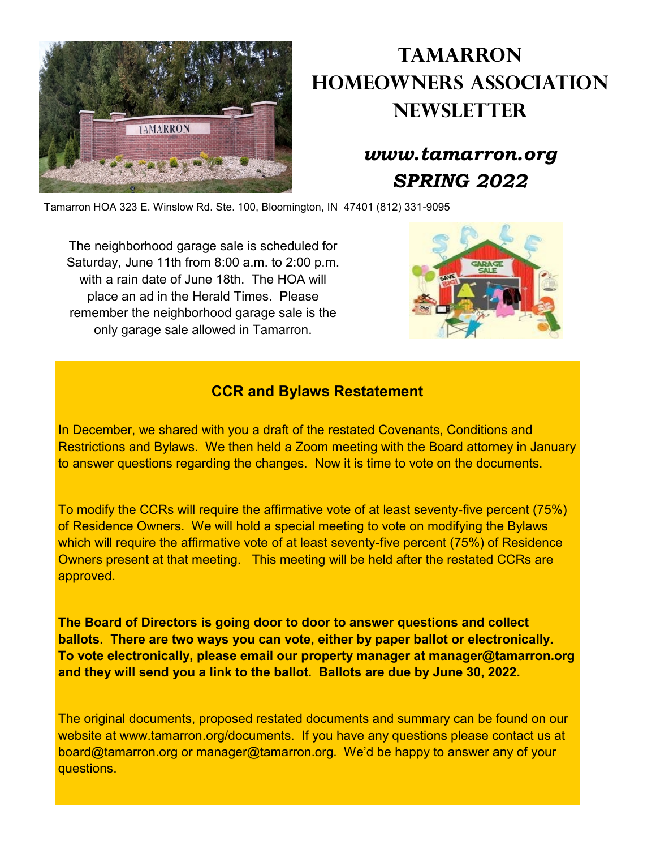

# **Tamarron Homeowners Association Newsletter**

## *www.tamarron.org SPRING 2022*

Tamarron HOA 323 E. Winslow Rd. Ste. 100, Bloomington, IN 47401 (812) 331-9095

The neighborhood garage sale is scheduled for Saturday, June 11th from 8:00 a.m. to 2:00 p.m. with a rain date of June 18th. The HOA will place an ad in the Herald Times. Please remember the neighborhood garage sale is the only garage sale allowed in Tamarron.



### **CCR and Bylaws Restatement**

In December, we shared with you a draft of the restated Covenants, Conditions and Restrictions and Bylaws. We then held a Zoom meeting with the Board attorney in January to answer questions regarding the changes. Now it is time to vote on the documents.

To modify the CCRs will require the affirmative vote of at least seventy-five percent (75%) of Residence Owners. We will hold a special meeting to vote on modifying the Bylaws which will require the affirmative vote of at least seventy-five percent (75%) of Residence Owners present at that meeting. This meeting will be held after the restated CCRs are approved.

**The Board of Directors is going door to door to answer questions and collect ballots. There are two ways you can vote, either by paper ballot or electronically. To vote electronically, please email our property manager at manager@tamarron.org and they will send you a link to the ballot. Ballots are due by June 30, 2022.**

The original documents, proposed restated documents and summary can be found on our website at www.tamarron.org/documents. If you have any questions please contact us at board@tamarron.org or manager@tamarron.org. We'd be happy to answer any of your questions.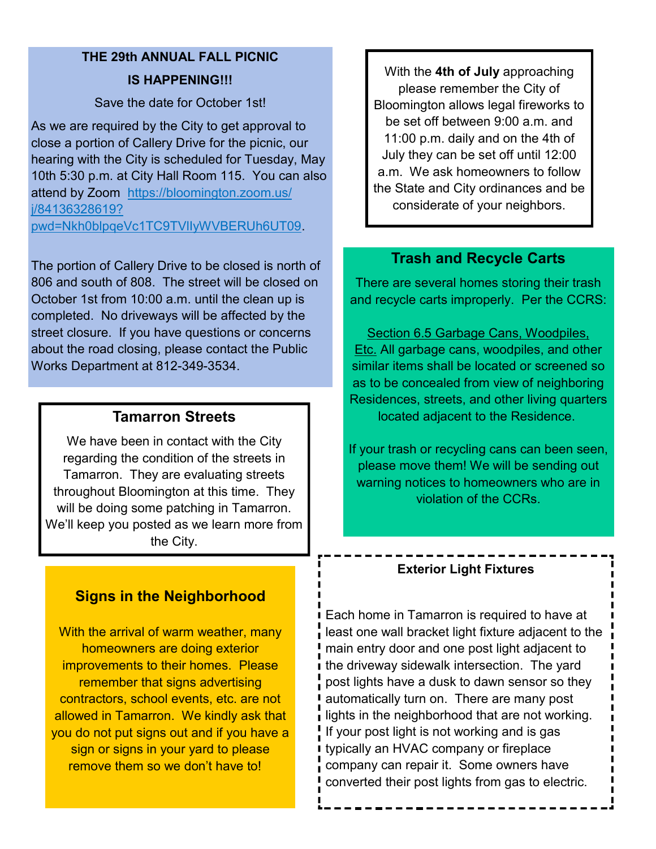## **THE 29th ANNUAL FALL PICNIC IS HAPPENING!!!**

Save the date for October 1st!

As we are required by the City to get approval to close a portion of Callery Drive for the picnic, our hearing with the City is scheduled for Tuesday, May 10th 5:30 p.m. at City Hall Room 115. You can also attend by Zoom [https://bloomington.zoom.us/](https://www.google.com/url?q=https://bloomington.zoom.us/j/84136328619?pwd%3DNkh0blpqeVc1TC9TVlIyWVBERUh6UT09&sa=D&source=calendar&usd=2&usg=AOvVaw0htpXNHAlor1XTc_fcfsYZ) [j/84136328619?](https://www.google.com/url?q=https://bloomington.zoom.us/j/84136328619?pwd%3DNkh0blpqeVc1TC9TVlIyWVBERUh6UT09&sa=D&source=calendar&usd=2&usg=AOvVaw0htpXNHAlor1XTc_fcfsYZ)

[pwd=Nkh0blpqeVc1TC9TVlIyWVBERUh6UT09.](https://www.google.com/url?q=https://bloomington.zoom.us/j/84136328619?pwd%3DNkh0blpqeVc1TC9TVlIyWVBERUh6UT09&sa=D&source=calendar&usd=2&usg=AOvVaw0htpXNHAlor1XTc_fcfsYZ) 

The portion of Callery Drive to be closed is north of 806 and south of 808. The street will be closed on October 1st from 10:00 a.m. until the clean up is completed. No driveways will be affected by the street closure. If you have questions or concerns about the road closing, please contact the Public Works Department at 812-349-3534.

### **Tamarron Streets**

We have been in contact with the City regarding the condition of the streets in Tamarron. They are evaluating streets throughout Bloomington at this time. They will be doing some patching in Tamarron. We'll keep you posted as we learn more from the City.

## **Signs in the Neighborhood**

With the arrival of warm weather, many homeowners are doing exterior improvements to their homes. Please remember that signs advertising contractors, school events, etc. are not allowed in Tamarron. We kindly ask that you do not put signs out and if you have a sign or signs in your yard to please remove them so we don't have to!

With the **4th of July** approaching please remember the City of Bloomington allows legal fireworks to be set off between 9:00 a.m. and 11:00 p.m. daily and on the 4th of July they can be set off until 12:00 a.m. We ask homeowners to follow the State and City ordinances and be considerate of your neighbors.

### **Trash and Recycle Carts**

There are several homes storing their trash and recycle carts improperly. Per the CCRS:

Section 6.5 Garbage Cans, Woodpiles, Etc. All garbage cans, woodpiles, and other similar items shall be located or screened so as to be concealed from view of neighboring Residences, streets, and other living quarters located adjacent to the Residence.

If your trash or recycling cans can been seen, please move them! We will be sending out warning notices to homeowners who are in violation of the CCRs.

#### **Exterior Light Fixtures**

Each home in Tamarron is required to have at least one wall bracket light fixture adjacent to the main entry door and one post light adjacent to the driveway sidewalk intersection. The yard post lights have a dusk to dawn sensor so they automatically turn on. There are many post lights in the neighborhood that are not working. If your post light is not working and is gas typically an HVAC company or fireplace company can repair it. Some owners have converted their post lights from gas to electric.